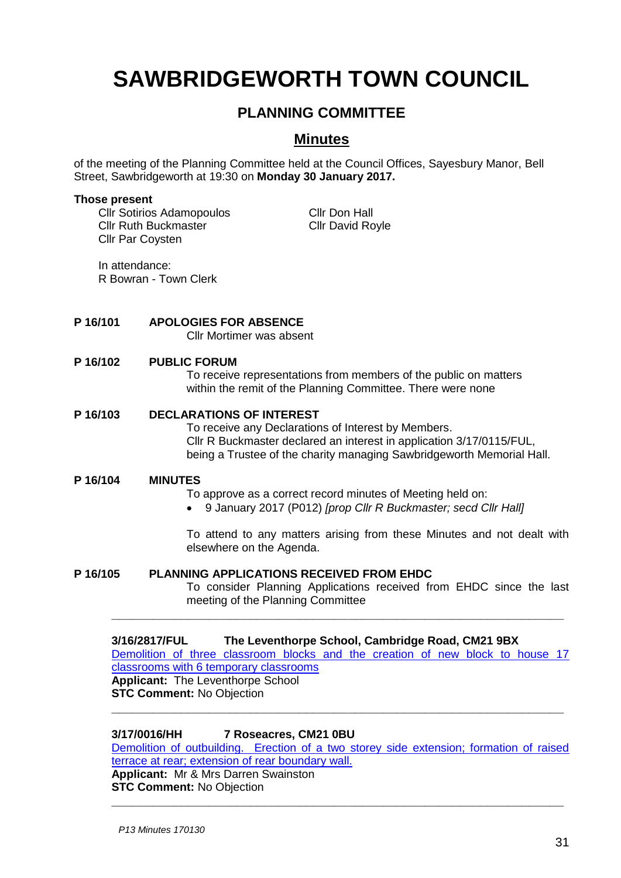# **SAWBRIDGEWORTH TOWN COUNCIL**

## **PLANNING COMMITTEE**

### **Minutes**

of the meeting of the Planning Committee held at the Council Offices, Sayesbury Manor, Bell Street, Sawbridgeworth at 19:30 on **Monday 30 January 2017.**

#### **Those present**

Cllr Sotirios Adamopoulos Cllr Don Hall Cllr Ruth Buckmaster Cllr David Royle Cllr Par Coysten

In attendance: R Bowran - Town Clerk

#### **P 16/101 APOLOGIES FOR ABSENCE**

Cllr Mortimer was absent

#### **P 16/102 PUBLIC FORUM**

To receive representations from members of the public on matters within the remit of the Planning Committee. There were none

#### **P 16/103 DECLARATIONS OF INTEREST**

To receive any Declarations of Interest by Members. Cllr R Buckmaster declared an interest in application 3/17/0115/FUL, being a Trustee of the charity managing Sawbridgeworth Memorial Hall.

#### **P 16/104 MINUTES**

To approve as a correct record minutes of Meeting held on:

9 January 2017 (P012) *[prop Cllr R Buckmaster; secd Cllr Hall]*

To attend to any matters arising from these Minutes and not dealt with elsewhere on the Agenda.

#### **P 16/105 PLANNING APPLICATIONS RECEIVED FROM EHDC**

To consider Planning Applications received from EHDC since the last meeting of the Planning Committee

#### **3/16/2817/FUL The Leventhorpe School, Cambridge Road, CM21 9BX** [Demolition of three classroom blocks and the creation of new block to house 17](https://publicaccess.eastherts.gov.uk/online-applications/simpleSearchResults.do?action=firstPage)  classrooms [with 6 temporary classrooms](https://publicaccess.eastherts.gov.uk/online-applications/simpleSearchResults.do?action=firstPage) **Applicant:** The Leventhorpe School **STC Comment: No Objection**

**\_\_\_\_\_\_\_\_\_\_\_\_\_\_\_\_\_\_\_\_\_\_\_\_\_\_\_\_\_\_\_\_\_\_\_\_\_\_\_\_\_\_\_\_\_\_\_\_\_\_\_\_\_\_\_\_\_\_\_\_\_\_\_\_\_**

**\_\_\_\_\_\_\_\_\_\_\_\_\_\_\_\_\_\_\_\_\_\_\_\_\_\_\_\_\_\_\_\_\_\_\_\_\_\_\_\_\_\_\_\_\_\_\_\_\_\_\_\_\_\_\_\_\_\_\_\_\_\_\_\_\_**

#### **3/17/0016/HH 7 Roseacres, CM21 0BU**

[Demolition of outbuilding. Erection of a two storey side extension; formation of raised](https://publicaccess.eastherts.gov.uk/online-applications/applicationDetails.do?activeTab=summary&keyVal=OJCXEEGLMS600)  [terrace at rear; extension of rear boundary wall.](https://publicaccess.eastherts.gov.uk/online-applications/applicationDetails.do?activeTab=summary&keyVal=OJCXEEGLMS600) **Applicant:** Mr & Mrs Darren Swainston **STC Comment:** No Objection **\_\_\_\_\_\_\_\_\_\_\_\_\_\_\_\_\_\_\_\_\_\_\_\_\_\_\_\_\_\_\_\_\_\_\_\_\_\_\_\_\_\_\_\_\_\_\_\_\_\_\_\_\_\_\_\_\_\_\_\_\_\_\_\_\_**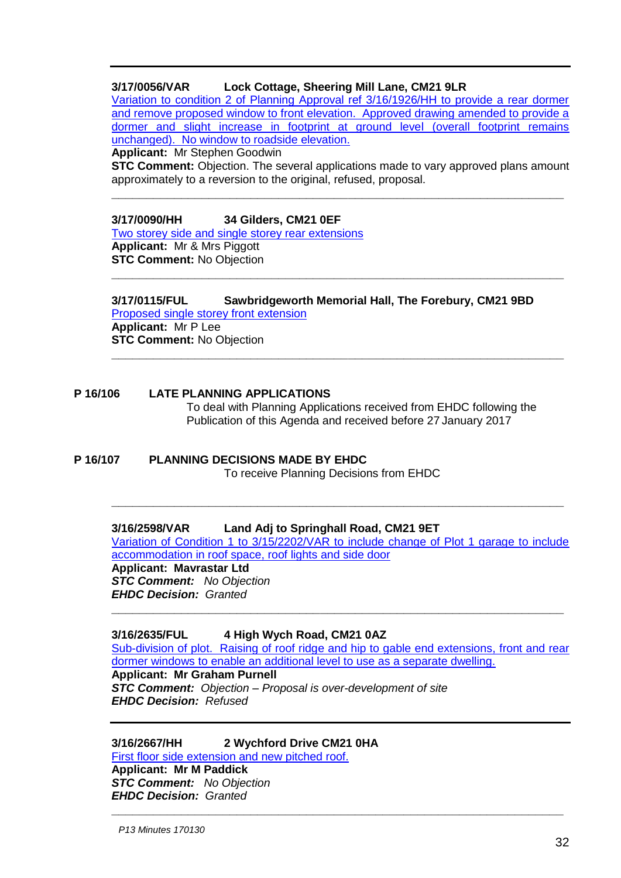#### **3/17/0056/VAR Lock Cottage, Sheering Mill Lane, CM21 9LR**

[Variation to condition 2 of Planning Approval ref 3/16/1926/HH to provide a rear dormer](https://publicaccess.eastherts.gov.uk/online-applications/applicationDetails.do?activeTab=summary&keyVal=OJMHVGGLMUJ00)  [and remove proposed window to front elevation. Approved drawing amended to provide a](https://publicaccess.eastherts.gov.uk/online-applications/applicationDetails.do?activeTab=summary&keyVal=OJMHVGGLMUJ00)  [dormer and slight increase in footprint at ground level \(overall footprint remains](https://publicaccess.eastherts.gov.uk/online-applications/applicationDetails.do?activeTab=summary&keyVal=OJMHVGGLMUJ00)  [unchanged\). No window to roadside elevation.](https://publicaccess.eastherts.gov.uk/online-applications/applicationDetails.do?activeTab=summary&keyVal=OJMHVGGLMUJ00) 

**Applicant:** Mr Stephen Goodwin

**STC Comment:** Objection. The several applications made to vary approved plans amount approximately to a reversion to the original, refused, proposal.

**\_\_\_\_\_\_\_\_\_\_\_\_\_\_\_\_\_\_\_\_\_\_\_\_\_\_\_\_\_\_\_\_\_\_\_\_\_\_\_\_\_\_\_\_\_\_\_\_\_\_\_\_\_\_\_\_\_\_\_\_\_\_\_\_\_**

**3/17/0090/HH 34 Gilders, CM21 0EF** [Two storey side and single storey rear extensions](https://publicaccess.eastherts.gov.uk/online-applications/applicationDetails.do?activeTab=summary&keyVal=OJVR8NGLMWP00) **Applicant:** Mr & Mrs Piggott

**STC Comment:** No Objection **\_\_\_\_\_\_\_\_\_\_\_\_\_\_\_\_\_\_\_\_\_\_\_\_\_\_\_\_\_\_\_\_\_\_\_\_\_\_\_\_\_\_\_\_\_\_\_\_\_\_\_\_\_\_\_\_\_\_\_\_\_\_\_\_\_**

**3/17/0115/FUL Sawbridgeworth Memorial Hall, The Forebury, CM21 9BD** [Proposed single storey front extension](https://publicaccess.eastherts.gov.uk/online-applications/applicationDetails.do?activeTab=summary&keyVal=OJYZK5GL00X00) **Applicant:** Mr P Lee **STC Comment:** No Objection **\_\_\_\_\_\_\_\_\_\_\_\_\_\_\_\_\_\_\_\_\_\_\_\_\_\_\_\_\_\_\_\_\_\_\_\_\_\_\_\_\_\_\_\_\_\_\_\_\_\_\_\_\_\_\_\_\_\_\_\_\_\_\_\_\_**

#### **P 16/106 LATE PLANNING APPLICATIONS**

To deal with Planning Applications received from EHDC following the Publication of this Agenda and received before 27 January 2017

#### **P 16/107 PLANNING DECISIONS MADE BY EHDC** To receive Planning Decisions from EHDC

**\_\_\_\_\_\_\_\_\_\_\_\_\_\_\_\_\_\_\_\_\_\_\_\_\_\_\_\_\_\_\_\_\_\_\_\_\_\_\_\_\_\_\_\_\_\_\_\_\_\_\_\_\_\_\_\_\_\_\_\_\_\_\_\_\_**

#### **3/16/2598/VAR Land Adj to Springhall Road, CM21 9ET**

[Variation of Condition 1 to 3/15/2202/VAR to include change of Plot 1 garage to include](https://publicaccess.eastherts.gov.uk/online-applications/applicationDetails.do?activeTab=summary&keyVal=OH1A9TGLM9S00)  [accommodation in roof space, roof lights and side door](https://publicaccess.eastherts.gov.uk/online-applications/applicationDetails.do?activeTab=summary&keyVal=OH1A9TGLM9S00) **Applicant: Mavrastar Ltd** *STC Comment: No Objection EHDC Decision: Granted*

#### **3/16/2635/FUL 4 High Wych Road, CM21 0AZ**

[Sub-division of plot. Raising of roof ridge and](https://publicaccess.eastherts.gov.uk/online-applications/applicationDetails.do?activeTab=summary&keyVal=OH7GKRGLMBN00) hip to gable end extensions, front and rear [dormer windows to enable an additional level to use as a separate dwelling.](https://publicaccess.eastherts.gov.uk/online-applications/applicationDetails.do?activeTab=summary&keyVal=OH7GKRGLMBN00)

**\_\_\_\_\_\_\_\_\_\_\_\_\_\_\_\_\_\_\_\_\_\_\_\_\_\_\_\_\_\_\_\_\_\_\_\_\_\_\_\_\_\_\_\_\_\_\_\_\_\_\_\_\_\_\_\_\_\_\_\_\_\_\_\_\_**

**\_\_\_\_\_\_\_\_\_\_\_\_\_\_\_\_\_\_\_\_\_\_\_\_\_\_\_\_\_\_\_\_\_\_\_\_\_\_\_\_\_\_\_\_\_\_\_\_\_\_\_\_\_\_\_\_\_\_\_\_\_\_\_\_\_**

#### **Applicant: Mr Graham Purnell**

*STC Comment: Objection – Proposal is over-development of site EHDC Decision: Refused*

#### **3/16/2667/HH 2 Wychford Drive CM21 0HA**

[First floor side extension and new pitched roof.](https://publicaccess.eastherts.gov.uk/online-applications/applicationDetails.do?activeTab=summary&keyVal=OH1A9TGLM9S00) **Applicant: Mr M Paddick** *STC Comment: No Objection EHDC Decision: Granted*